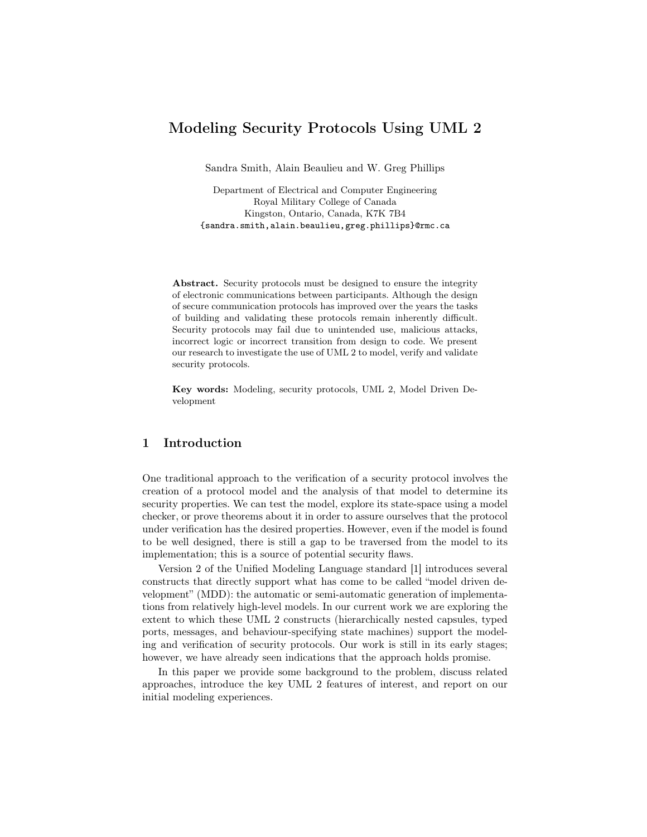# Modeling Security Protocols Using UML 2

Sandra Smith, Alain Beaulieu and W. Greg Phillips

Department of Electrical and Computer Engineering Royal Military College of Canada Kingston, Ontario, Canada, K7K 7B4 {sandra.smith,alain.beaulieu,greg.phillips}@rmc.ca

Abstract. Security protocols must be designed to ensure the integrity of electronic communications between participants. Although the design of secure communication protocols has improved over the years the tasks of building and validating these protocols remain inherently difficult. Security protocols may fail due to unintended use, malicious attacks, incorrect logic or incorrect transition from design to code. We present our research to investigate the use of UML 2 to model, verify and validate security protocols.

Key words: Modeling, security protocols, UML 2, Model Driven Development

### 1 Introduction

One traditional approach to the verification of a security protocol involves the creation of a protocol model and the analysis of that model to determine its security properties. We can test the model, explore its state-space using a model checker, or prove theorems about it in order to assure ourselves that the protocol under verification has the desired properties. However, even if the model is found to be well designed, there is still a gap to be traversed from the model to its implementation; this is a source of potential security flaws.

Version 2 of the Unified Modeling Language standard [1] introduces several constructs that directly support what has come to be called "model driven development" (MDD): the automatic or semi-automatic generation of implementations from relatively high-level models. In our current work we are exploring the extent to which these UML 2 constructs (hierarchically nested capsules, typed ports, messages, and behaviour-specifying state machines) support the modeling and verification of security protocols. Our work is still in its early stages; however, we have already seen indications that the approach holds promise.

In this paper we provide some background to the problem, discuss related approaches, introduce the key UML 2 features of interest, and report on our initial modeling experiences.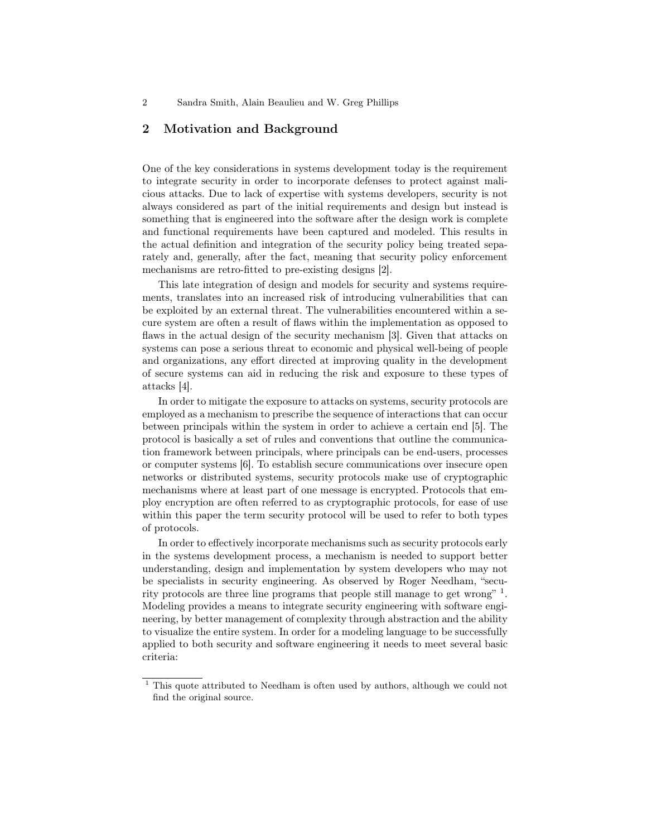### 2 Motivation and Background

One of the key considerations in systems development today is the requirement to integrate security in order to incorporate defenses to protect against malicious attacks. Due to lack of expertise with systems developers, security is not always considered as part of the initial requirements and design but instead is something that is engineered into the software after the design work is complete and functional requirements have been captured and modeled. This results in the actual definition and integration of the security policy being treated separately and, generally, after the fact, meaning that security policy enforcement mechanisms are retro-fitted to pre-existing designs [2].

This late integration of design and models for security and systems requirements, translates into an increased risk of introducing vulnerabilities that can be exploited by an external threat. The vulnerabilities encountered within a secure system are often a result of flaws within the implementation as opposed to flaws in the actual design of the security mechanism [3]. Given that attacks on systems can pose a serious threat to economic and physical well-being of people and organizations, any effort directed at improving quality in the development of secure systems can aid in reducing the risk and exposure to these types of attacks [4].

In order to mitigate the exposure to attacks on systems, security protocols are employed as a mechanism to prescribe the sequence of interactions that can occur between principals within the system in order to achieve a certain end [5]. The protocol is basically a set of rules and conventions that outline the communication framework between principals, where principals can be end-users, processes or computer systems [6]. To establish secure communications over insecure open networks or distributed systems, security protocols make use of cryptographic mechanisms where at least part of one message is encrypted. Protocols that employ encryption are often referred to as cryptographic protocols, for ease of use within this paper the term security protocol will be used to refer to both types of protocols.

In order to effectively incorporate mechanisms such as security protocols early in the systems development process, a mechanism is needed to support better understanding, design and implementation by system developers who may not be specialists in security engineering. As observed by Roger Needham, "security protocols are three line programs that people still manage to get wrong" <sup>1</sup>. Modeling provides a means to integrate security engineering with software engineering, by better management of complexity through abstraction and the ability to visualize the entire system. In order for a modeling language to be successfully applied to both security and software engineering it needs to meet several basic criteria:

 $1$  This quote attributed to Needham is often used by authors, although we could not find the original source.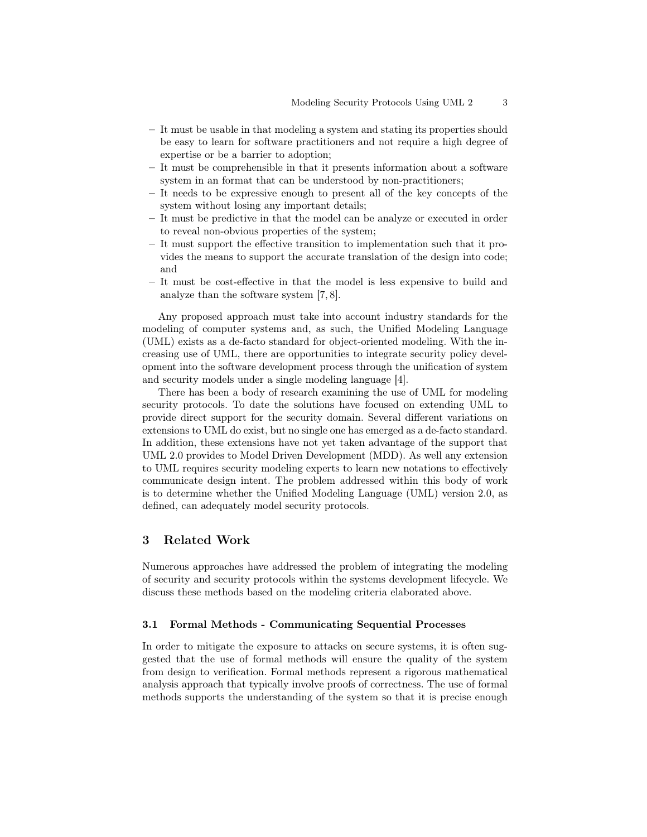- It must be usable in that modeling a system and stating its properties should be easy to learn for software practitioners and not require a high degree of expertise or be a barrier to adoption;
- It must be comprehensible in that it presents information about a software system in an format that can be understood by non-practitioners;
- It needs to be expressive enough to present all of the key concepts of the system without losing any important details;
- It must be predictive in that the model can be analyze or executed in order to reveal non-obvious properties of the system;
- It must support the effective transition to implementation such that it provides the means to support the accurate translation of the design into code; and
- It must be cost-effective in that the model is less expensive to build and analyze than the software system [7, 8].

Any proposed approach must take into account industry standards for the modeling of computer systems and, as such, the Unified Modeling Language (UML) exists as a de-facto standard for object-oriented modeling. With the increasing use of UML, there are opportunities to integrate security policy development into the software development process through the unification of system and security models under a single modeling language [4].

There has been a body of research examining the use of UML for modeling security protocols. To date the solutions have focused on extending UML to provide direct support for the security domain. Several different variations on extensions to UML do exist, but no single one has emerged as a de-facto standard. In addition, these extensions have not yet taken advantage of the support that UML 2.0 provides to Model Driven Development (MDD). As well any extension to UML requires security modeling experts to learn new notations to effectively communicate design intent. The problem addressed within this body of work is to determine whether the Unified Modeling Language (UML) version 2.0, as defined, can adequately model security protocols.

### 3 Related Work

Numerous approaches have addressed the problem of integrating the modeling of security and security protocols within the systems development lifecycle. We discuss these methods based on the modeling criteria elaborated above.

#### 3.1 Formal Methods - Communicating Sequential Processes

In order to mitigate the exposure to attacks on secure systems, it is often suggested that the use of formal methods will ensure the quality of the system from design to verification. Formal methods represent a rigorous mathematical analysis approach that typically involve proofs of correctness. The use of formal methods supports the understanding of the system so that it is precise enough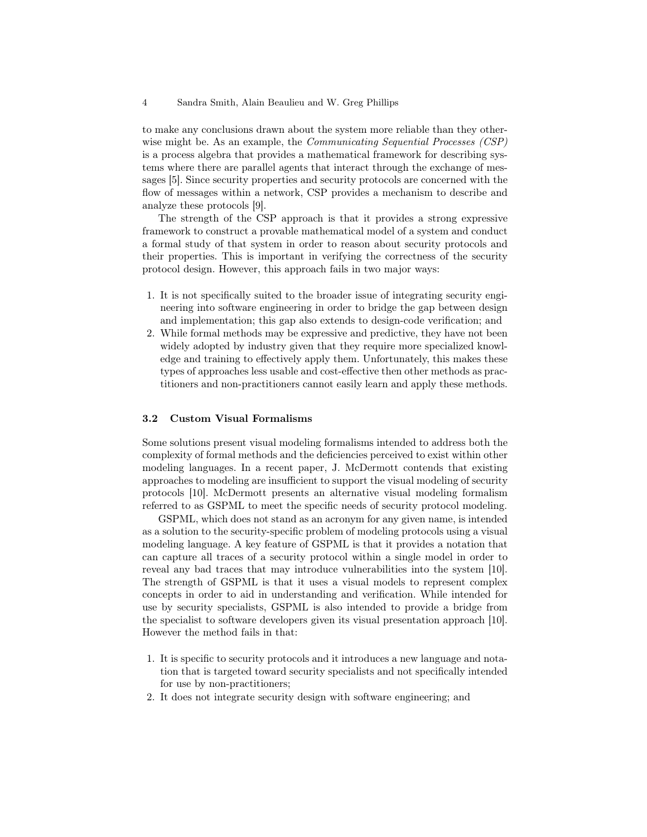to make any conclusions drawn about the system more reliable than they otherwise might be. As an example, the *Communicating Sequential Processes (CSP)* is a process algebra that provides a mathematical framework for describing systems where there are parallel agents that interact through the exchange of messages [5]. Since security properties and security protocols are concerned with the flow of messages within a network, CSP provides a mechanism to describe and analyze these protocols [9].

The strength of the CSP approach is that it provides a strong expressive framework to construct a provable mathematical model of a system and conduct a formal study of that system in order to reason about security protocols and their properties. This is important in verifying the correctness of the security protocol design. However, this approach fails in two major ways:

- 1. It is not specifically suited to the broader issue of integrating security engineering into software engineering in order to bridge the gap between design and implementation; this gap also extends to design-code verification; and
- 2. While formal methods may be expressive and predictive, they have not been widely adopted by industry given that they require more specialized knowledge and training to effectively apply them. Unfortunately, this makes these types of approaches less usable and cost-effective then other methods as practitioners and non-practitioners cannot easily learn and apply these methods.

#### 3.2 Custom Visual Formalisms

Some solutions present visual modeling formalisms intended to address both the complexity of formal methods and the deficiencies perceived to exist within other modeling languages. In a recent paper, J. McDermott contends that existing approaches to modeling are insufficient to support the visual modeling of security protocols [10]. McDermott presents an alternative visual modeling formalism referred to as GSPML to meet the specific needs of security protocol modeling.

GSPML, which does not stand as an acronym for any given name, is intended as a solution to the security-specific problem of modeling protocols using a visual modeling language. A key feature of GSPML is that it provides a notation that can capture all traces of a security protocol within a single model in order to reveal any bad traces that may introduce vulnerabilities into the system [10]. The strength of GSPML is that it uses a visual models to represent complex concepts in order to aid in understanding and verification. While intended for use by security specialists, GSPML is also intended to provide a bridge from the specialist to software developers given its visual presentation approach [10]. However the method fails in that:

- 1. It is specific to security protocols and it introduces a new language and notation that is targeted toward security specialists and not specifically intended for use by non-practitioners;
- 2. It does not integrate security design with software engineering; and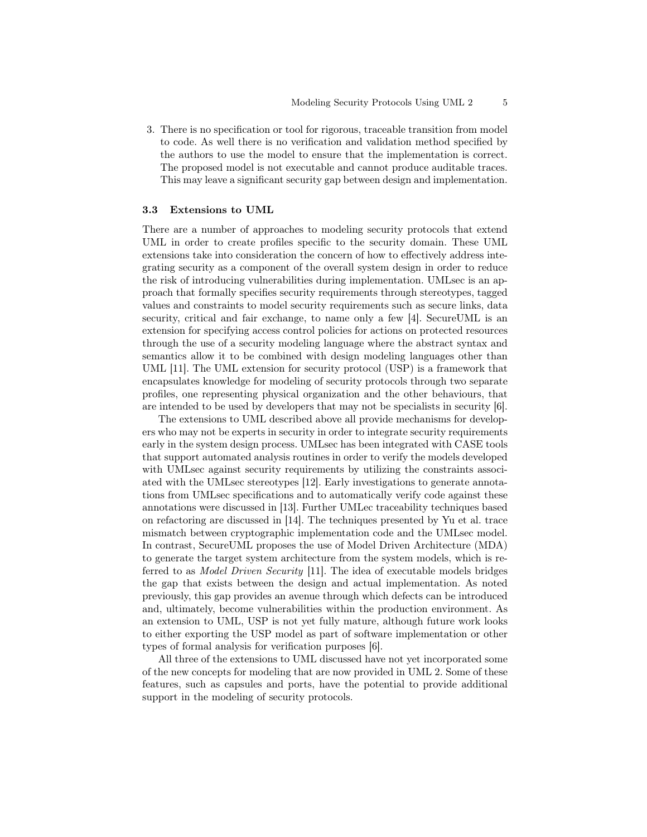3. There is no specification or tool for rigorous, traceable transition from model to code. As well there is no verification and validation method specified by the authors to use the model to ensure that the implementation is correct. The proposed model is not executable and cannot produce auditable traces. This may leave a significant security gap between design and implementation.

#### 3.3 Extensions to UML

There are a number of approaches to modeling security protocols that extend UML in order to create profiles specific to the security domain. These UML extensions take into consideration the concern of how to effectively address integrating security as a component of the overall system design in order to reduce the risk of introducing vulnerabilities during implementation. UMLsec is an approach that formally specifies security requirements through stereotypes, tagged values and constraints to model security requirements such as secure links, data security, critical and fair exchange, to name only a few [4]. SecureUML is an extension for specifying access control policies for actions on protected resources through the use of a security modeling language where the abstract syntax and semantics allow it to be combined with design modeling languages other than UML [11]. The UML extension for security protocol (USP) is a framework that encapsulates knowledge for modeling of security protocols through two separate profiles, one representing physical organization and the other behaviours, that are intended to be used by developers that may not be specialists in security [6].

The extensions to UML described above all provide mechanisms for developers who may not be experts in security in order to integrate security requirements early in the system design process. UMLsec has been integrated with CASE tools that support automated analysis routines in order to verify the models developed with UMLsec against security requirements by utilizing the constraints associated with the UMLsec stereotypes [12]. Early investigations to generate annotations from UMLsec specifications and to automatically verify code against these annotations were discussed in [13]. Further UMLec traceability techniques based on refactoring are discussed in [14]. The techniques presented by Yu et al. trace mismatch between cryptographic implementation code and the UMLsec model. In contrast, SecureUML proposes the use of Model Driven Architecture (MDA) to generate the target system architecture from the system models, which is referred to as Model Driven Security [11]. The idea of executable models bridges the gap that exists between the design and actual implementation. As noted previously, this gap provides an avenue through which defects can be introduced and, ultimately, become vulnerabilities within the production environment. As an extension to UML, USP is not yet fully mature, although future work looks to either exporting the USP model as part of software implementation or other types of formal analysis for verification purposes [6].

All three of the extensions to UML discussed have not yet incorporated some of the new concepts for modeling that are now provided in UML 2. Some of these features, such as capsules and ports, have the potential to provide additional support in the modeling of security protocols.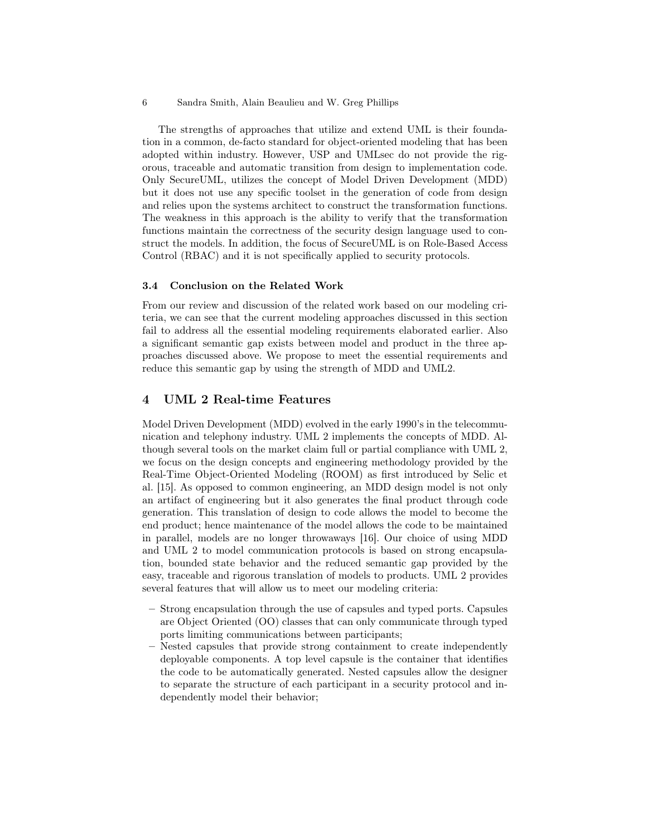The strengths of approaches that utilize and extend UML is their foundation in a common, de-facto standard for object-oriented modeling that has been adopted within industry. However, USP and UMLsec do not provide the rigorous, traceable and automatic transition from design to implementation code. Only SecureUML, utilizes the concept of Model Driven Development (MDD) but it does not use any specific toolset in the generation of code from design and relies upon the systems architect to construct the transformation functions. The weakness in this approach is the ability to verify that the transformation functions maintain the correctness of the security design language used to construct the models. In addition, the focus of SecureUML is on Role-Based Access Control (RBAC) and it is not specifically applied to security protocols.

#### 3.4 Conclusion on the Related Work

From our review and discussion of the related work based on our modeling criteria, we can see that the current modeling approaches discussed in this section fail to address all the essential modeling requirements elaborated earlier. Also a significant semantic gap exists between model and product in the three approaches discussed above. We propose to meet the essential requirements and reduce this semantic gap by using the strength of MDD and UML2.

### 4 UML 2 Real-time Features

Model Driven Development (MDD) evolved in the early 1990's in the telecommunication and telephony industry. UML 2 implements the concepts of MDD. Although several tools on the market claim full or partial compliance with UML 2, we focus on the design concepts and engineering methodology provided by the Real-Time Object-Oriented Modeling (ROOM) as first introduced by Selic et al. [15]. As opposed to common engineering, an MDD design model is not only an artifact of engineering but it also generates the final product through code generation. This translation of design to code allows the model to become the end product; hence maintenance of the model allows the code to be maintained in parallel, models are no longer throwaways [16]. Our choice of using MDD and UML 2 to model communication protocols is based on strong encapsulation, bounded state behavior and the reduced semantic gap provided by the easy, traceable and rigorous translation of models to products. UML 2 provides several features that will allow us to meet our modeling criteria:

- Strong encapsulation through the use of capsules and typed ports. Capsules are Object Oriented (OO) classes that can only communicate through typed ports limiting communications between participants;
- Nested capsules that provide strong containment to create independently deployable components. A top level capsule is the container that identifies the code to be automatically generated. Nested capsules allow the designer to separate the structure of each participant in a security protocol and independently model their behavior;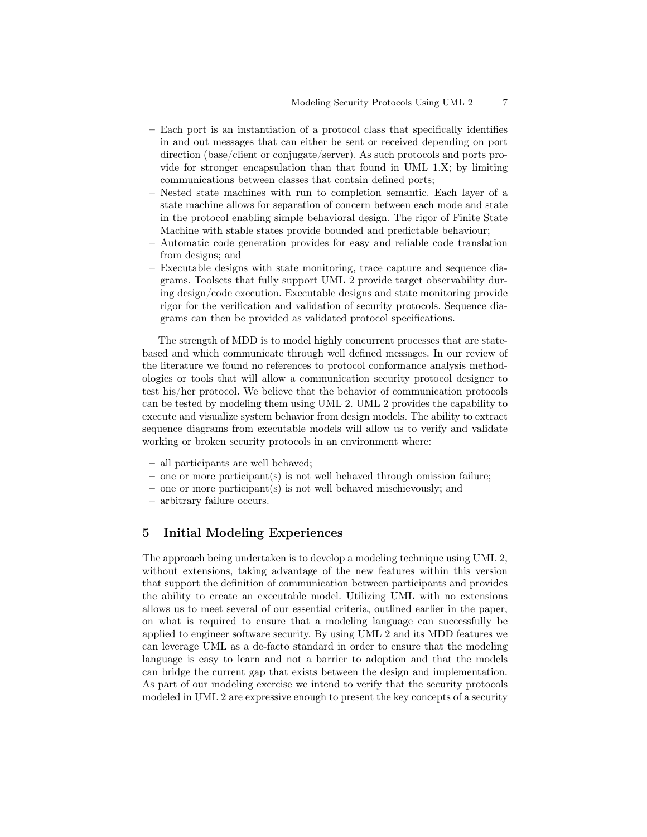- Each port is an instantiation of a protocol class that specifically identifies in and out messages that can either be sent or received depending on port direction (base/client or conjugate/server). As such protocols and ports provide for stronger encapsulation than that found in UML 1.X; by limiting communications between classes that contain defined ports;
- Nested state machines with run to completion semantic. Each layer of a state machine allows for separation of concern between each mode and state in the protocol enabling simple behavioral design. The rigor of Finite State Machine with stable states provide bounded and predictable behaviour;
- Automatic code generation provides for easy and reliable code translation from designs; and
- Executable designs with state monitoring, trace capture and sequence diagrams. Toolsets that fully support UML 2 provide target observability during design/code execution. Executable designs and state monitoring provide rigor for the verification and validation of security protocols. Sequence diagrams can then be provided as validated protocol specifications.

The strength of MDD is to model highly concurrent processes that are statebased and which communicate through well defined messages. In our review of the literature we found no references to protocol conformance analysis methodologies or tools that will allow a communication security protocol designer to test his/her protocol. We believe that the behavior of communication protocols can be tested by modeling them using UML 2. UML 2 provides the capability to execute and visualize system behavior from design models. The ability to extract sequence diagrams from executable models will allow us to verify and validate working or broken security protocols in an environment where:

- all participants are well behaved;
- one or more participant(s) is not well behaved through omission failure;
- one or more participant(s) is not well behaved mischievously; and
- arbitrary failure occurs.

### 5 Initial Modeling Experiences

The approach being undertaken is to develop a modeling technique using UML 2, without extensions, taking advantage of the new features within this version that support the definition of communication between participants and provides the ability to create an executable model. Utilizing UML with no extensions allows us to meet several of our essential criteria, outlined earlier in the paper, on what is required to ensure that a modeling language can successfully be applied to engineer software security. By using UML 2 and its MDD features we can leverage UML as a de-facto standard in order to ensure that the modeling language is easy to learn and not a barrier to adoption and that the models can bridge the current gap that exists between the design and implementation. As part of our modeling exercise we intend to verify that the security protocols modeled in UML 2 are expressive enough to present the key concepts of a security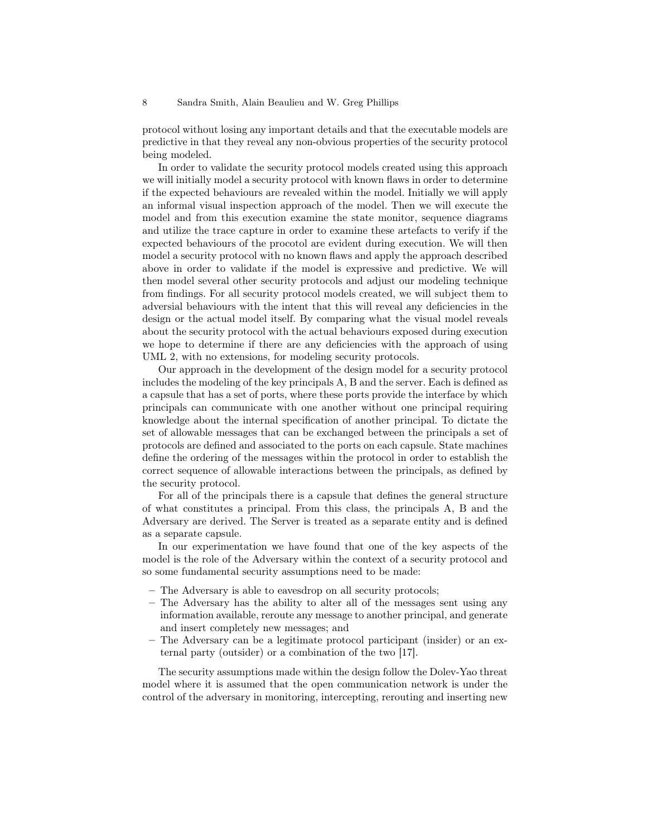protocol without losing any important details and that the executable models are predictive in that they reveal any non-obvious properties of the security protocol being modeled.

In order to validate the security protocol models created using this approach we will initially model a security protocol with known flaws in order to determine if the expected behaviours are revealed within the model. Initially we will apply an informal visual inspection approach of the model. Then we will execute the model and from this execution examine the state monitor, sequence diagrams and utilize the trace capture in order to examine these artefacts to verify if the expected behaviours of the procotol are evident during execution. We will then model a security protocol with no known flaws and apply the approach described above in order to validate if the model is expressive and predictive. We will then model several other security protocols and adjust our modeling technique from findings. For all security protocol models created, we will subject them to adversial behaviours with the intent that this will reveal any deficiencies in the design or the actual model itself. By comparing what the visual model reveals about the security protocol with the actual behaviours exposed during execution we hope to determine if there are any deficiencies with the approach of using UML 2, with no extensions, for modeling security protocols.

Our approach in the development of the design model for a security protocol includes the modeling of the key principals A, B and the server. Each is defined as a capsule that has a set of ports, where these ports provide the interface by which principals can communicate with one another without one principal requiring knowledge about the internal specification of another principal. To dictate the set of allowable messages that can be exchanged between the principals a set of protocols are defined and associated to the ports on each capsule. State machines define the ordering of the messages within the protocol in order to establish the correct sequence of allowable interactions between the principals, as defined by the security protocol.

For all of the principals there is a capsule that defines the general structure of what constitutes a principal. From this class, the principals A, B and the Adversary are derived. The Server is treated as a separate entity and is defined as a separate capsule.

In our experimentation we have found that one of the key aspects of the model is the role of the Adversary within the context of a security protocol and so some fundamental security assumptions need to be made:

- The Adversary is able to eavesdrop on all security protocols;
- The Adversary has the ability to alter all of the messages sent using any information available, reroute any message to another principal, and generate and insert completely new messages; and
- The Adversary can be a legitimate protocol participant (insider) or an external party (outsider) or a combination of the two [17].

The security assumptions made within the design follow the Dolev-Yao threat model where it is assumed that the open communication network is under the control of the adversary in monitoring, intercepting, rerouting and inserting new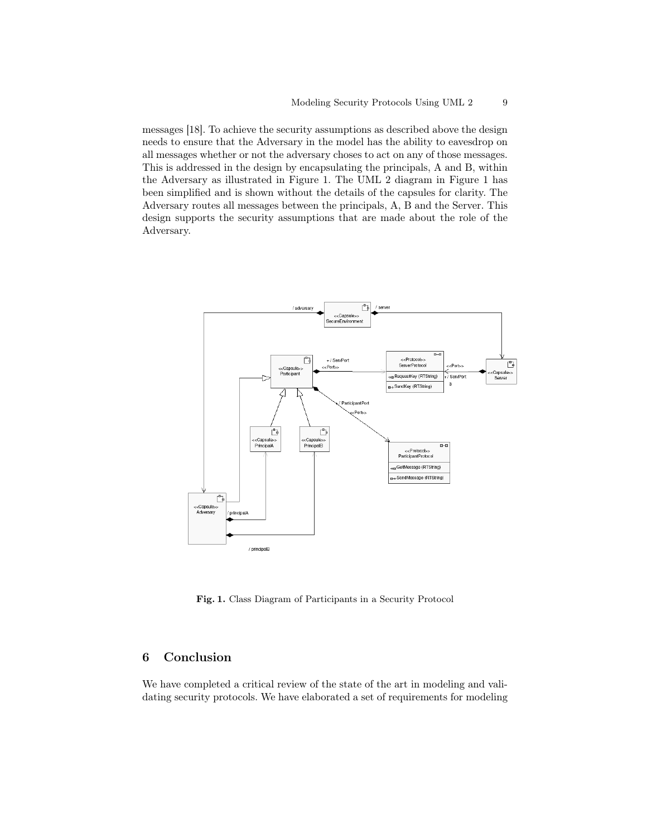messages [18]. To achieve the security assumptions as described above the design needs to ensure that the Adversary in the model has the ability to eavesdrop on all messages whether or not the adversary choses to act on any of those messages. This is addressed in the design by encapsulating the principals, A and B, within the Adversary as illustrated in Figure 1. The UML 2 diagram in Figure 1 has been simplified and is shown without the details of the capsules for clarity. The Adversary routes all messages between the principals, A, B and the Server. This design supports the security assumptions that are made about the role of the Adversary.



Fig. 1. Class Diagram of Participants in a Security Protocol

## 6 Conclusion

We have completed a critical review of the state of the art in modeling and validating security protocols. We have elaborated a set of requirements for modeling